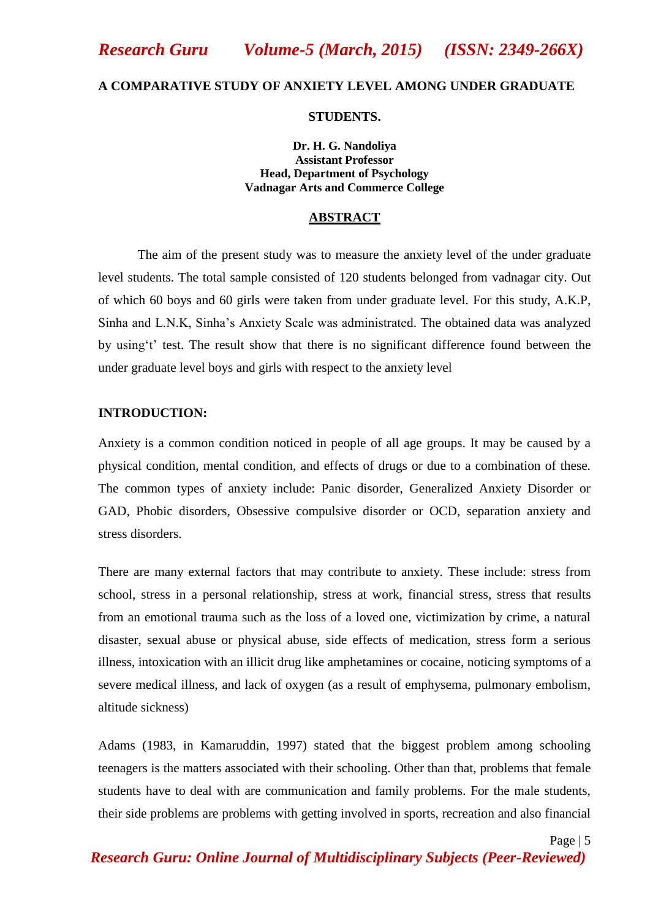### **A COMPARATIVE STUDY OF ANXIETY LEVEL AMONG UNDER GRADUATE**

#### **STUDENTS.**

**Dr. H. G. Nandoliya Assistant Professor Head, Department of Psychology Vadnagar Arts and Commerce College**

#### **ABSTRACT**

The aim of the present study was to measure the anxiety level of the under graduate level students. The total sample consisted of 120 students belonged from vadnagar city. Out of which 60 boys and 60 girls were taken from under graduate level. For this study, A.K.P, Sinha and L.N.K, Sinha"s Anxiety Scale was administrated. The obtained data was analyzed by using"t" test. The result show that there is no significant difference found between the under graduate level boys and girls with respect to the anxiety level

#### **INTRODUCTION:**

Anxiety is a common condition noticed in people of all age groups. It may be caused by a physical condition, mental condition, and effects of drugs or due to a combination of these. The common types of anxiety include: Panic disorder, Generalized Anxiety Disorder or GAD, Phobic disorders, Obsessive compulsive disorder or OCD, separation anxiety and stress disorders.

There are many external factors that may contribute to anxiety. These include: stress from school, stress in a personal relationship, stress at work, financial stress, stress that results from an emotional trauma such as the loss of a loved one, victimization by crime, a natural disaster, sexual abuse or physical abuse, side effects of medication, stress form a serious illness, intoxication with an illicit drug like amphetamines or cocaine, noticing symptoms of a severe medical illness, and lack of oxygen (as a result of emphysema, pulmonary embolism, altitude sickness)

Adams (1983, in Kamaruddin, 1997) stated that the biggest problem among schooling teenagers is the matters associated with their schooling. Other than that, problems that female students have to deal with are communication and family problems. For the male students, their side problems are problems with getting involved in sports, recreation and also financial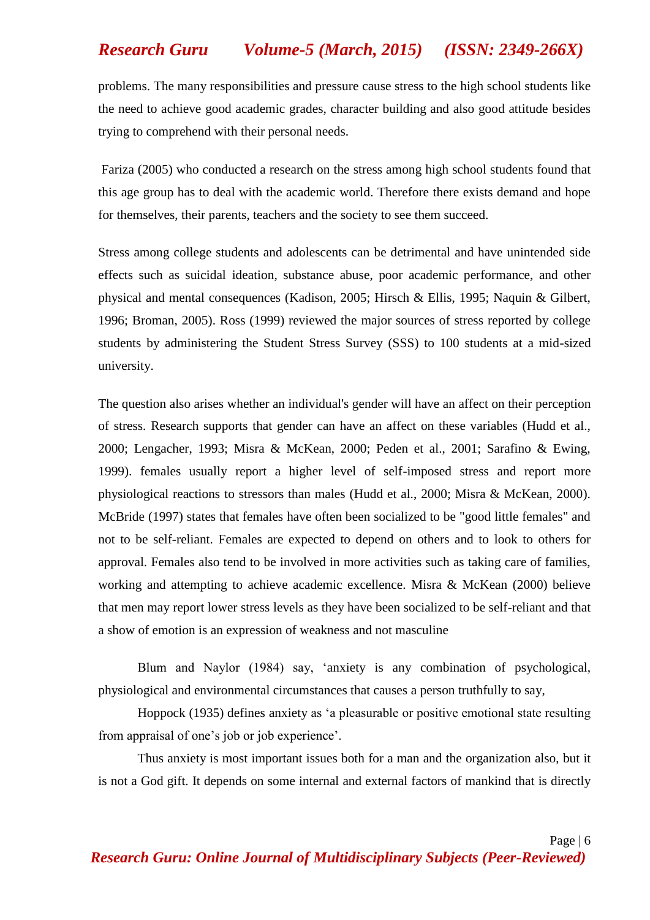problems. The many responsibilities and pressure cause stress to the high school students like the need to achieve good academic grades, character building and also good attitude besides trying to comprehend with their personal needs.

Fariza (2005) who conducted a research on the stress among high school students found that this age group has to deal with the academic world. Therefore there exists demand and hope for themselves, their parents, teachers and the society to see them succeed.

Stress among college students and adolescents can be detrimental and have unintended side effects such as suicidal ideation, substance abuse, poor academic performance, and other physical and mental consequences (Kadison, 2005; Hirsch & Ellis, 1995; Naquin & Gilbert, 1996; Broman, 2005). Ross (1999) reviewed the major sources of stress reported by college students by administering the Student Stress Survey (SSS) to 100 students at a mid-sized university.

The question also arises whether an individual's gender will have an affect on their perception of stress. Research supports that gender can have an affect on these variables (Hudd et al., 2000; Lengacher, 1993; Misra & McKean, 2000; Peden et al., 2001; Sarafino & Ewing, 1999). females usually report a higher level of self-imposed stress and report more physiological reactions to stressors than males (Hudd et al., 2000; Misra & McKean, 2000). McBride (1997) states that females have often been socialized to be "good little females" and not to be self-reliant. Females are expected to depend on others and to look to others for approval. Females also tend to be involved in more activities such as taking care of families, working and attempting to achieve academic excellence. Misra & McKean (2000) believe that men may report lower stress levels as they have been socialized to be self-reliant and that a show of emotion is an expression of weakness and not masculine

Blum and Naylor (1984) say, "anxiety is any combination of psychological, physiological and environmental circumstances that causes a person truthfully to say,

Hoppock (1935) defines anxiety as "a pleasurable or positive emotional state resulting from appraisal of one"s job or job experience".

Thus anxiety is most important issues both for a man and the organization also, but it is not a God gift. It depends on some internal and external factors of mankind that is directly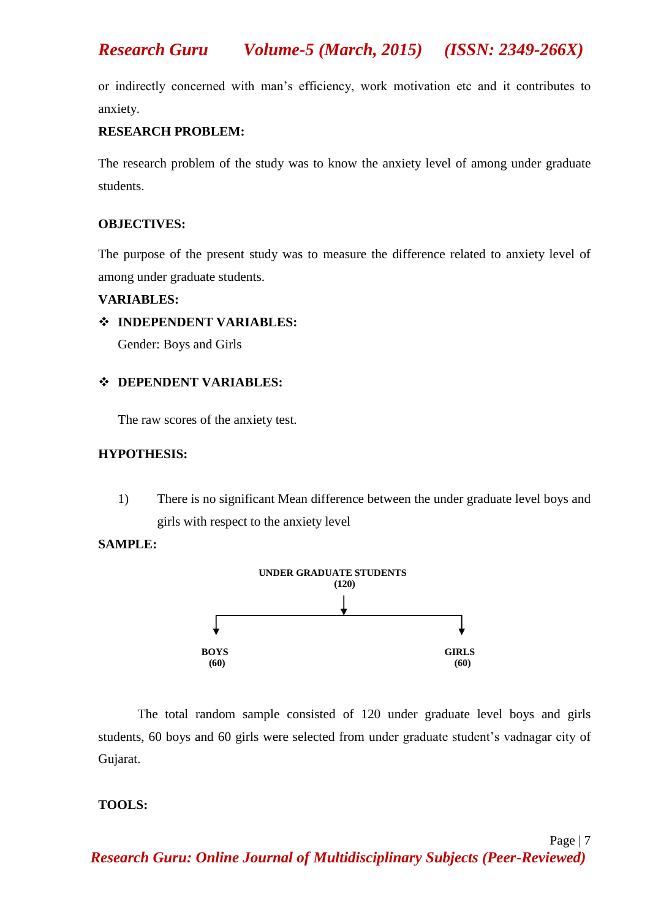or indirectly concerned with man"s efficiency, work motivation etc and it contributes to anxiety.

## **RESEARCH PROBLEM:**

The research problem of the study was to know the anxiety level of among under graduate students.

## **OBJECTIVES:**

The purpose of the present study was to measure the difference related to anxiety level of among under graduate students.

### **VARIABLES:**

 **INDEPENDENT VARIABLES:** Gender: Boys and Girls

## **DEPENDENT VARIABLES:**

The raw scores of the anxiety test.

## **HYPOTHESIS:**

1) There is no significant Mean difference between the under graduate level boys and girls with respect to the anxiety level

### **SAMPLE:**



The total random sample consisted of 120 under graduate level boys and girls students, 60 boys and 60 girls were selected from under graduate student"s vadnagar city of Gujarat.

## **TOOLS:**

Page | 7 *Research Guru: Online Journal of Multidisciplinary Subjects (Peer-Reviewed)*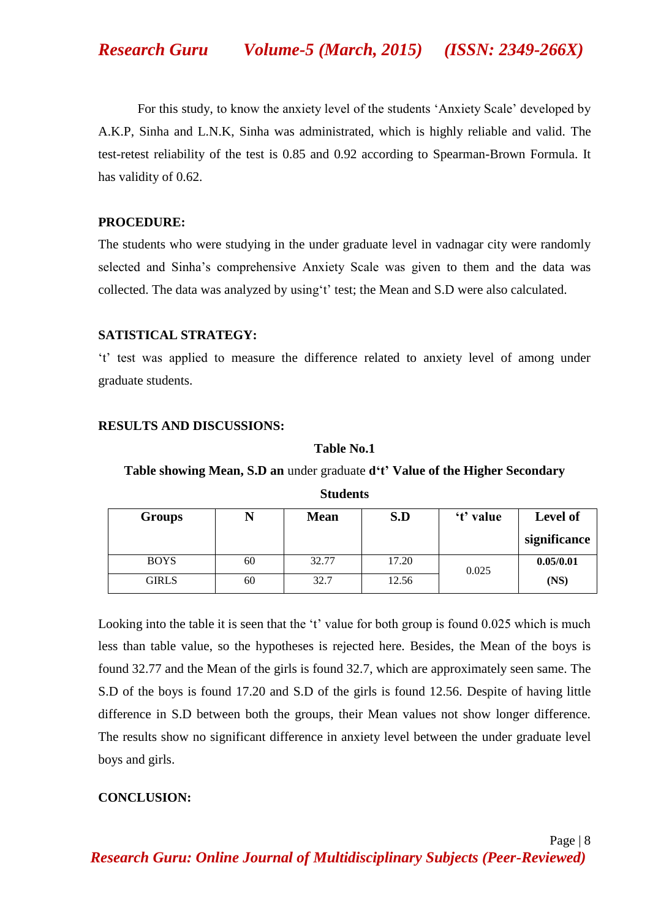For this study, to know the anxiety level of the students "Anxiety Scale" developed by A.K.P, Sinha and L.N.K, Sinha was administrated, which is highly reliable and valid. The test-retest reliability of the test is 0.85 and 0.92 according to Spearman-Brown Formula. It has validity of 0.62.

### **PROCEDURE:**

The students who were studying in the under graduate level in vadnagar city were randomly selected and Sinha"s comprehensive Anxiety Scale was given to them and the data was collected. The data was analyzed by using't' test; the Mean and S.D were also calculated.

#### **SATISTICAL STRATEGY:**

"t" test was applied to measure the difference related to anxiety level of among under graduate students.

#### **RESULTS AND DISCUSSIONS:**

## **Table No.1**

### **Table showing Mean, S.D an** under graduate **d't' Value of the Higher Secondary**

| <b>Groups</b> |    | <b>Mean</b> | S.D   | 't' value | Level of     |
|---------------|----|-------------|-------|-----------|--------------|
|               |    |             |       |           | significance |
| <b>BOYS</b>   | 60 | 32.77       | 17.20 | 0.025     | 0.05/0.01    |
| <b>GIRLS</b>  | 60 | 32.7        | 12.56 |           | (NS)         |

**Students**

Looking into the table it is seen that the 't' value for both group is found 0.025 which is much less than table value, so the hypotheses is rejected here. Besides, the Mean of the boys is found 32.77 and the Mean of the girls is found 32.7, which are approximately seen same. The S.D of the boys is found 17.20 and S.D of the girls is found 12.56. Despite of having little difference in S.D between both the groups, their Mean values not show longer difference. The results show no significant difference in anxiety level between the under graduate level boys and girls.

## **CONCLUSION:**

Page | 8 *Research Guru: Online Journal of Multidisciplinary Subjects (Peer-Reviewed)*